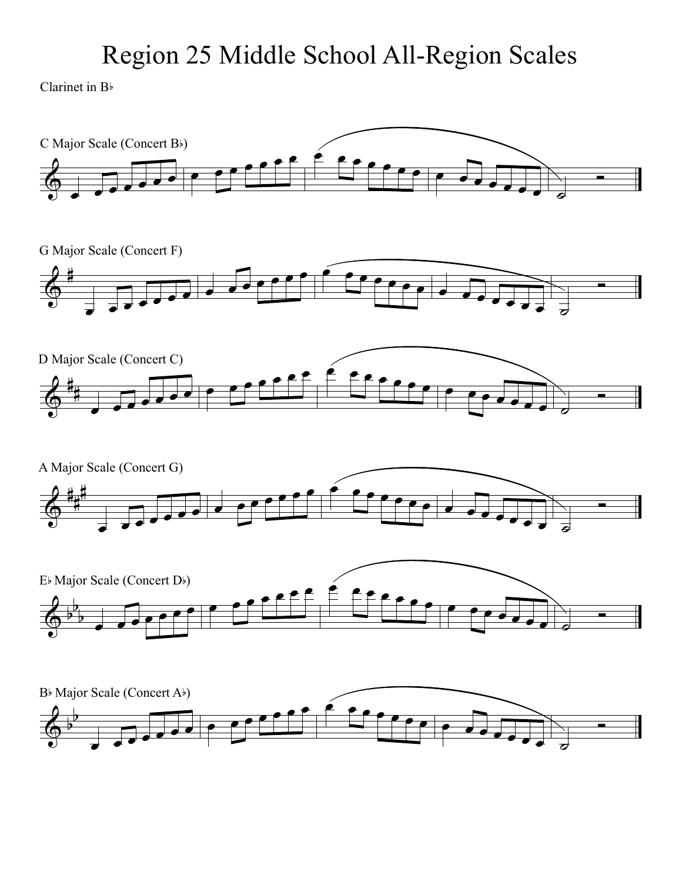## Region 25 Middle School All-Region Scales

Clarinet in B